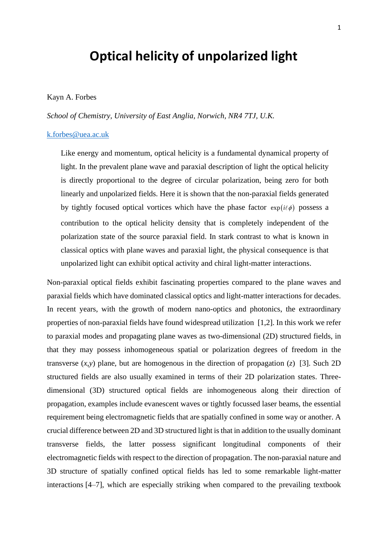## **Optical helicity of unpolarized light**

## Kayn A. Forbes

*School of Chemistry, University of East Anglia, Norwich, NR4 7TJ, U.K.* 

## [k.forbes@uea.ac.uk](mailto:k.forbes@uea.ac.uk)

Like energy and momentum, optical helicity is a fundamental dynamical property of light. In the prevalent plane wave and paraxial description of light the optical helicity is directly proportional to the degree of circular polarization, being zero for both linearly and unpolarized fields. Here it is shown that the non-paraxial fields generated by tightly focused optical vortices which have the phase factor  $\exp(i\ell\phi)$  possess a contribution to the optical helicity density that is completely independent of the polarization state of the source paraxial field. In stark contrast to what is known in classical optics with plane waves and paraxial light, the physical consequence is that unpolarized light can exhibit optical activity and chiral light-matter interactions.

Non-paraxial optical fields exhibit fascinating properties compared to the plane waves and paraxial fields which have dominated classical optics and light-matter interactions for decades. In recent years, with the growth of modern nano-optics and photonics, the extraordinary properties of non-paraxial fields have found widespread utilization [1,2]. In this work we refer to paraxial modes and propagating plane waves as two-dimensional (2D) structured fields, in that they may possess inhomogeneous spatial or polarization degrees of freedom in the transverse  $(x, y)$  plane, but are homogenous in the direction of propagation  $(z)$  [3]. Such 2D structured fields are also usually examined in terms of their 2D polarization states. Threedimensional (3D) structured optical fields are inhomogeneous along their direction of propagation, examples include evanescent waves or tightly focussed laser beams, the essential requirement being electromagnetic fields that are spatially confined in some way or another. A crucial difference between 2D and 3D structured light is that in addition to the usually dominant transverse fields, the latter possess significant longitudinal components of their electromagnetic fields with respect to the direction of propagation. The non-paraxial nature and 3D structure of spatially confined optical fields has led to some remarkable light-matter interactions [4–7], which are especially striking when compared to the prevailing textbook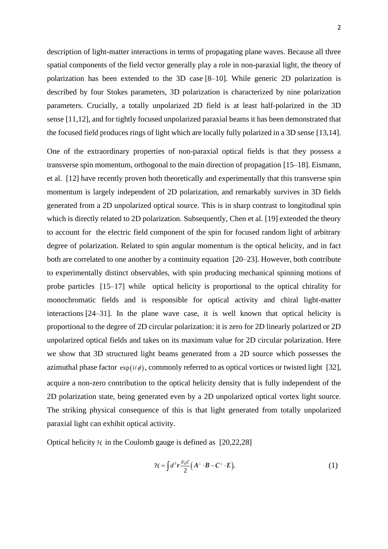description of light-matter interactions in terms of propagating plane waves. Because all three spatial components of the field vector generally play a role in non-paraxial light, the theory of polarization has been extended to the 3D case [8–10]. While generic 2D polarization is described by four Stokes parameters, 3D polarization is characterized by nine polarization parameters. Crucially, a totally unpolarized 2D field is at least half-polarized in the 3D sense [11,12], and for tightly focused unpolarized paraxial beams it has been demonstrated that the focused field produces rings of light which are locally fully polarized in a 3D sense [13,14].

One of the extraordinary properties of non-paraxial optical fields is that they possess a transverse spin momentum, orthogonal to the main direction of propagation [15–18]. Eismann, et al. [12] have recently proven both theoretically and experimentally that this transverse spin momentum is largely independent of 2D polarization, and remarkably survives in 3D fields generated from a 2D unpolarized optical source. This is in sharp contrast to longitudinal spin which is directly related to 2D polarization. Subsequently, Chen et al. [19] extended the theory to account for the electric field component of the spin for focused random light of arbitrary degree of polarization. Related to spin angular momentum is the optical helicity, and in fact both are correlated to one another by a continuity equation [20–23]. However, both contribute to experimentally distinct observables, with spin producing mechanical spinning motions of probe particles [15–17] while optical helicity is proportional to the optical chirality for monochromatic fields and is responsible for optical activity and chiral light-matter interactions [24–31]. In the plane wave case, it is well known that optical helicity is proportional to the degree of 2D circular polarization: it is zero for 2D linearly polarized or 2D unpolarized optical fields and takes on its maximum value for 2D circular polarization. Here we show that 3D structured light beams generated from a 2D source which possesses the azimuthal phase factor  $exp(i\ell\phi)$ , commonly referred to as optical vortices or twisted light [32], acquire a non-zero contribution to the optical helicity density that is fully independent of the 2D polarization state, being generated even by a 2D unpolarized optical vortex light source. The striking physical consequence of this is that light generated from totally unpolarized paraxial light can exhibit optical activity.

Optical helicity  $\mathcal H$  in the Coulomb gauge is defined as [20,22,28]

$$
\mathcal{H} = \int d^3 r \frac{\varepsilon_0 c}{2} \Big( A^{\perp} \cdot B - C^{\perp} \cdot E \Big), \tag{1}
$$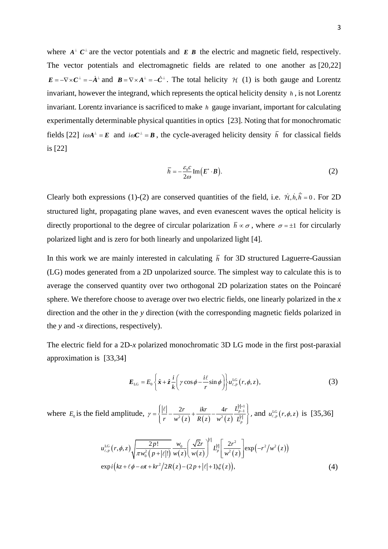where  $A^{\perp} C^{\perp}$  are the vector potentials and  $E$  **B** the electric and magnetic field, respectively. The vector potentials and electromagnetic fields are related to one another as [20,22]  $E = -\nabla \times C^{\perp} = -\dot{A}^{\perp}$  and  $B = \nabla \times A^{\perp} = -\dot{C}^{\perp}$ . The total helicity  $\mathcal{H}$  (1) is both gauge and Lorentz invariant, however the integrand, which represents the optical helicity density *h* , is not Lorentz invariant. Lorentz invariance is sacrificed to make *h* gauge invariant, important for calculating experimentally determinable physical quantities in optics [23]. Noting that for monochromatic fields [22]  $i\omega A^{\perp} = E$  and  $i\omega C^{\perp} = B$ , the cycle-averaged helicity density  $\bar{h}$  for classical fields is [22]

$$
\bar{h} = -\frac{\varepsilon_0 c}{2\omega} \operatorname{Im} \left( E^* \cdot B \right). \tag{2}
$$

Clearly both expressions (1)-(2) are conserved quantities of the field, i.e.  $\dot{\mathcal{H}}, h, \bar{h} = 0$ . For 2D structured light, propagating plane waves, and even evanescent waves the optical helicity is directly proportional to the degree of circular polarization  $\bar{h} \propto \sigma$ , where  $\sigma = \pm 1$  for circularly polarized light and is zero for both linearly and unpolarized light [4].

In this work we are mainly interested in calculating  $\bar{h}$  for 3D structured Laguerre-Gaussian (LG) modes generated from a 2D unpolarized source. The simplest way to calculate this is to average the conserved quantity over two orthogonal 2D polarization states on the Poincaré sphere. We therefore choose to average over two electric fields, one linearly polarized in the *x*  direction and the other in the *y* direction (with the corresponding magnetic fields polarized in the *y* and *-x* directions, respectively).

The electric field for a 2D-*x* polarized monochromatic 3D LG mode in the first post-paraxial approximation is [33,34]

$$
E_{\text{LG}} = E_0 \left\{ \hat{x} + \hat{z} \frac{i}{k} \left( \gamma \cos \phi - \frac{i\ell}{r} \sin \phi \right) \right\} u_{\ell, p}^{\text{LG}} \left( r, \phi, z \right), \tag{3}
$$

where  $E_0$  is the field amplitude,  $\gamma = \left\{ \frac{|v|}{r} - \frac{2r}{w^2(z)} + \frac{ikt}{R(z)} - \frac{4r}{w^2(z)} \right\}$  $\frac{2r}{\sqrt{\frac{2(z)}{c}}} + \frac{ikr}{R(z)} - \frac{4r}{w^2(z)} \frac{L_{p-1}^{|\ell|+1}}{I^{|\ell|}}$ *p*  $\frac{r}{r}$  *ikr*  $\frac{4r}{r}$  $\gamma = \left\{ \frac{|v|}{r} - \frac{2r}{w^2(z)} + \frac{ikr}{R(z)} - \frac{4r}{w^2(z)} \frac{L_p}{L} \right\}$  $=\left\{\frac{|ell|}{r} - \frac{2r}{w^2(z)} + \frac{ikr}{R(z)} - \frac{4r}{w^2(z)} \frac{L_{p-1}^{|l|+1}}{L_p^{|l|}}\right\}$ , an , and  $u_{\ell,p}^{\text{LG}}(r,\phi,z)$  is [35,36]

$$
u_{\ell,p}^{\text{LG}}(r,\phi,z) \sqrt{\frac{2p!}{\pi w_0^2 (p+|\ell|!)}} \frac{w_0}{w(z)} \left(\frac{\sqrt{2}r}{w(z)}\right)^{|\ell|} L_p^{|l|} \left[\frac{2r^2}{w^2(z)}\right] \exp(-r^2/w^2(z))
$$
  
\n
$$
\exp i\left(kz+\ell\phi-\omega t+kr^2/2R(z)-(2p+|\ell|+1)\xi(z)\right),\tag{4}
$$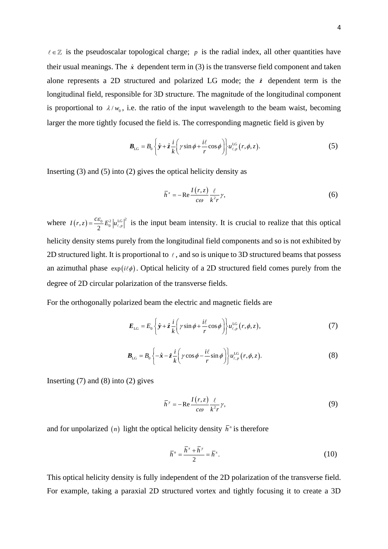$\in \mathbb{Z}$  is the pseudoscalar topological charge; p is the radial index, all other quantities have their usual meanings. The  $\hat{x}$  dependent term in (3) is the transverse field component and taken alone represents a 2D structured and polarized LG mode; the  $\hat{z}$  dependent term is the longitudinal field, responsible for 3D structure. The magnitude of the longitudinal component is proportional to  $\lambda/w_0$ , i.e. the ratio of the input wavelength to the beam waist, becoming larger the more tightly focused the field is. The corresponding magnetic field is given by

$$
\boldsymbol{B}_{\text{LG}} = B_0 \left\{ \hat{\boldsymbol{y}} + \hat{\boldsymbol{z}} \frac{i}{k} \left( \gamma \sin \phi + \frac{i\ell}{r} \cos \phi \right) \right\} u_{\ell, p}^{\text{LG}} \left( \boldsymbol{r}, \phi, z \right). \tag{5}
$$

Inserting (3) and (5) into (2) gives the optical helicity density as

$$
\bar{h}^x = -\text{Re}\frac{I(r,z)}{c\omega}\frac{\ell}{k^2r}\gamma,\tag{6}
$$

where  $I(r, z) = \frac{c \varepsilon_0}{2} E_0^2 |u_{\ell, p}^{\text{LG}}|^2$  $I(r, z) = \frac{c\epsilon_0}{r^2} E_0^2 |u_{\ell,n}^{IG}|^2$  is the input beam intensity. It is crucial to realize that this optical helicity density stems purely from the longitudinal field components and so is not exhibited by 2D structured light. It is proportional to  $\ell$ , and so is unique to 3D structured beams that possess an azimuthal phase  $\exp(i\ell\phi)$ . Optical helicity of a 2D structured field comes purely from the degree of 2D circular polarization of the transverse fields.

For the orthogonally polarized beam the electric and magnetic fields are

$$
E_{\text{LG}} = E_0 \left\{ \hat{y} + \hat{z} \frac{i}{k} \left( \gamma \sin \phi + \frac{i\ell}{r} \cos \phi \right) \right\} u_{\ell, \rho}^{\text{LG}} \left( r, \phi, z \right), \tag{7}
$$

$$
\boldsymbol{B}_{\text{LG}} = B_0 \left\{ -\hat{\boldsymbol{x}} - \hat{z} \frac{i}{k} \left( \gamma \cos \phi - \frac{i\ell}{r} \sin \phi \right) \right\} u_{\ell, p}^{\text{LG}} \left( r, \phi, z \right). \tag{8}
$$

Inserting  $(7)$  and  $(8)$  into  $(2)$  gives

$$
\bar{h}^{\gamma} = -\text{Re}\frac{I(r,z)}{c\omega}\frac{\ell}{k^2r}\gamma,\tag{9}
$$

and for unpolarized (*n*) light the optical helicity density  $\bar{h}$ <sup>n</sup> is therefore

$$
\overline{h}^n = \frac{\overline{h}^x + \overline{h}^y}{2} = \overline{h}^x.
$$
 (10)

This optical helicity density is fully independent of the 2D polarization of the transverse field. For example, taking a paraxial 2D structured vortex and tightly focusing it to create a 3D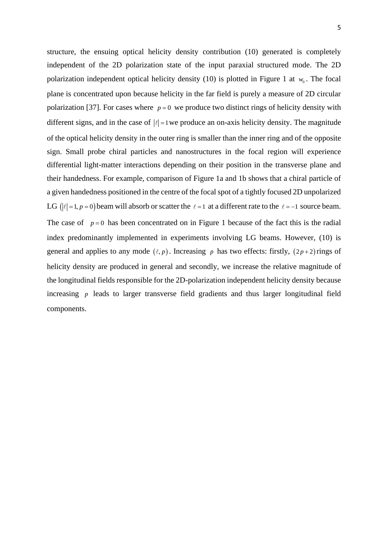structure, the ensuing optical helicity density contribution (10) generated is completely independent of the 2D polarization state of the input paraxial structured mode. The 2D polarization independent optical helicity density (10) is plotted in Figure 1 at  $w_0$ . The focal plane is concentrated upon because helicity in the far field is purely a measure of 2D circular polarization [37]. For cases where  $p=0$  we produce two distinct rings of helicity density with different signs, and in the case of  $|\ell|=1$  we produce an on-axis helicity density. The magnitude of the optical helicity density in the outer ring is smaller than the inner ring and of the opposite sign. Small probe chiral particles and nanostructures in the focal region will experience differential light-matter interactions depending on their position in the transverse plane and their handedness. For example, comparison of Figure 1a and 1b shows that a chiral particle of a given handedness positioned in the centre of the focal spot of a tightly focused 2D unpolarized LG ( $|\ell|=1, p=0$ ) beam will absorb or scatter the  $\ell=1$  at a different rate to the  $\ell=-1$  source beam. The case of  $p=0$  has been concentrated on in Figure 1 because of the fact this is the radial index predominantly implemented in experiments involving LG beams. However, (10) is general and applies to any mode  $(\ell, p)$ . Increasing p has two effects: firstly,  $(2p+2)$  rings of helicity density are produced in general and secondly, we increase the relative magnitude of the longitudinal fields responsible for the 2D-polarization independent helicity density because increasing *p* leads to larger transverse field gradients and thus larger longitudinal field components.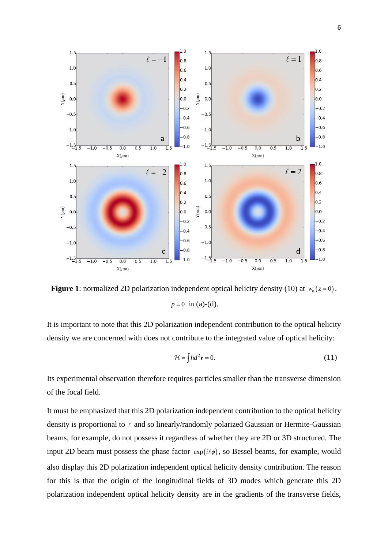

**Figure 1**: normalized 2D polarization independent optical helicity density (10) at  $w_0(z=0)$ .  $p = 0$  in (a)-(d).

It is important to note that this 2D polarization independent contribution to the optical helicity density we are concerned with does not contribute to the integrated value of optical helicity:

$$
\mathcal{H} = \int \overline{h} d^2 r = 0. \tag{11}
$$

Its experimental observation therefore requires particles smaller than the transverse dimension of the focal field.

It must be emphasized that this 2D polarization independent contribution to the optical helicity density is proportional to  $\ell$  and so linearly/randomly polarized Gaussian or Hermite-Gaussian beams, for example, do not possess it regardless of whether they are 2D or 3D structured. The input 2D beam must possess the phase factor  $exp(i\ell\phi)$ , so Bessel beams, for example, would also display this 2D polarization independent optical helicity density contribution. The reason for this is that the origin of the longitudinal fields of 3D modes which generate this 2D polarization independent optical helicity density are in the gradients of the transverse fields,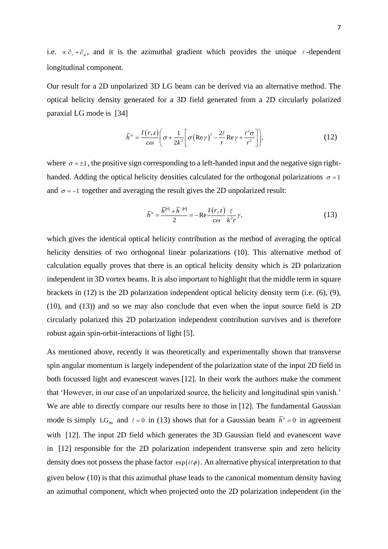i.e.  $\propto \partial_r + \partial_\phi$ , and it is the azimuthal gradient which provides the unique  $\ell$ -dependent longitudinal component.

Our result for a 2D unpolarized 3D LG beam can be derived via an alternative method. The optical helicity density generated for a 3D field generated from a 2D circularly polarized paraxial LG mode is [34]

$$
\bar{h}^{\sigma} = \frac{I(r,z)}{c\omega} \left( \sigma + \frac{1}{2k^2} \left[ \sigma (\text{Re}\,\gamma)^2 - \frac{2\ell}{r} \text{Re}\,\gamma + \frac{\ell^2 \sigma}{r^2} \right] \right),\tag{12}
$$

where  $\sigma = \pm 1$ , the positive sign corresponding to a left-handed input and the negative sign righthanded. Adding the optical helicity densities calculated for the orthogonal polarizations  $\sigma = 1$ and  $\sigma = -1$  together and averaging the result gives the 2D unpolarized result:

$$
\overline{h}^n = \frac{\overline{h}^{|\sigma|} + \overline{h}^{-|\sigma|}}{2} = -\text{Re}\frac{I(r,z)}{c\omega}\frac{\ell}{k^2r}\gamma,
$$
\n(13)

which gives the identical optical helicity contribution as the method of averaging the optical helicity densities of two orthogonal linear polarizations (10). This alternative method of calculation equally proves that there is an optical helicity density which is 2D polarization independent in 3D vortex beams. It is also important to highlight that the middle term in square brackets in (12) is the 2D polarization independent optical helicity density term (i.e. (6), (9), (10), and (13)) and so we may also conclude that even when the input source field is 2D circularly polarized this 2D polarization independent contribution survives and is therefore robust again spin-orbit-interactions of light [5].

As mentioned above, recently it was theoretically and experimentally shown that transverse spin angular momentum is largely independent of the polarization state of the input 2D field in both focussed light and evanescent waves [12]. In their work the authors make the comment that 'However, in our case of an unpolarized source, the helicity and longitudinal spin vanish.' We are able to directly compare our results here to those in [12]. The fundamental Gaussian mode is simply LG<sub>00</sub> and  $\ell = 0$  in (13) shows that for a Gaussian beam  $\bar{h}^n = 0$  in agreement with [12]. The input 2D field which generates the 3D Gaussian field and evanescent wave in [12] responsible for the 2D polarization independent transverse spin and zero helicity density does not possess the phase factor  $exp(i\ell\phi)$ . An alternative physical interpretation to that given below (10) is that this azimuthal phase leads to the canonical momentum density having an azimuthal component, which when projected onto the 2D polarization independent (in the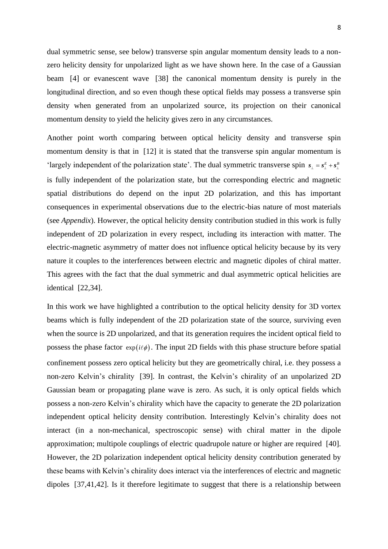dual symmetric sense, see below) transverse spin angular momentum density leads to a nonzero helicity density for unpolarized light as we have shown here. In the case of a Gaussian beam [4] or evanescent wave [38] the canonical momentum density is purely in the longitudinal direction, and so even though these optical fields may possess a transverse spin density when generated from an unpolarized source, its projection on their canonical momentum density to yield the helicity gives zero in any circumstances.

Another point worth comparing between optical helicity density and transverse spin momentum density is that in [12] it is stated that the transverse spin angular momentum is 'largely independent of the polarization state'. The dual symmetric transverse spin  $s_{\perp} = s_{\perp}^E + s_{\perp}^B$ is fully independent of the polarization state, but the corresponding electric and magnetic spatial distributions do depend on the input 2D polarization, and this has important consequences in experimental observations due to the electric-bias nature of most materials (see *Appendix*). However, the optical helicity density contribution studied in this work is fully independent of 2D polarization in every respect, including its interaction with matter. The electric-magnetic asymmetry of matter does not influence optical helicity because by its very nature it couples to the interferences between electric and magnetic dipoles of chiral matter. This agrees with the fact that the dual symmetric and dual asymmetric optical helicities are identical [22,34].

In this work we have highlighted a contribution to the optical helicity density for 3D vortex beams which is fully independent of the 2D polarization state of the source, surviving even when the source is 2D unpolarized, and that its generation requires the incident optical field to possess the phase factor  $exp(i\ell\phi)$ . The input 2D fields with this phase structure before spatial confinement possess zero optical helicity but they are geometrically chiral, i.e. they possess a non-zero Kelvin's chirality [39]. In contrast, the Kelvin's chirality of an unpolarized 2D Gaussian beam or propagating plane wave is zero. As such, it is only optical fields which possess a non-zero Kelvin's chirality which have the capacity to generate the 2D polarization independent optical helicity density contribution. Interestingly Kelvin's chirality does not interact (in a non-mechanical, spectroscopic sense) with chiral matter in the dipole approximation; multipole couplings of electric quadrupole nature or higher are required [40]. However, the 2D polarization independent optical helicity density contribution generated by these beams with Kelvin's chirality does interact via the interferences of electric and magnetic dipoles [37,41,42]. Is it therefore legitimate to suggest that there is a relationship between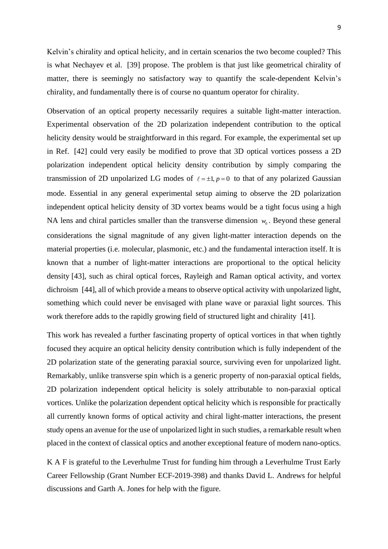Kelvin's chirality and optical helicity, and in certain scenarios the two become coupled? This is what Nechayev et al. [39] propose. The problem is that just like geometrical chirality of matter, there is seemingly no satisfactory way to quantify the scale-dependent Kelvin's chirality, and fundamentally there is of course no quantum operator for chirality.

Observation of an optical property necessarily requires a suitable light-matter interaction. Experimental observation of the 2D polarization independent contribution to the optical helicity density would be straightforward in this regard. For example, the experimental set up in Ref. [42] could very easily be modified to prove that 3D optical vortices possess a 2D polarization independent optical helicity density contribution by simply comparing the transmission of 2D unpolarized LG modes of  $\ell = \pm 1$ ,  $p = 0$  to that of any polarized Gaussian mode. Essential in any general experimental setup aiming to observe the 2D polarization independent optical helicity density of 3D vortex beams would be a tight focus using a high NA lens and chiral particles smaller than the transverse dimension  $w_0$ . Beyond these general considerations the signal magnitude of any given light-matter interaction depends on the material properties (i.e. molecular, plasmonic, etc.) and the fundamental interaction itself. It is known that a number of light-matter interactions are proportional to the optical helicity density [43], such as chiral optical forces, Rayleigh and Raman optical activity, and vortex dichroism [44], all of which provide a means to observe optical activity with unpolarized light, something which could never be envisaged with plane wave or paraxial light sources. This work therefore adds to the rapidly growing field of structured light and chirality [41].

This work has revealed a further fascinating property of optical vortices in that when tightly focused they acquire an optical helicity density contribution which is fully independent of the 2D polarization state of the generating paraxial source, surviving even for unpolarized light. Remarkably, unlike transverse spin which is a generic property of non-paraxial optical fields, 2D polarization independent optical helicity is solely attributable to non-paraxial optical vortices. Unlike the polarization dependent optical helicity which is responsible for practically all currently known forms of optical activity and chiral light-matter interactions, the present study opens an avenue for the use of unpolarized light in such studies, a remarkable result when placed in the context of classical optics and another exceptional feature of modern nano-optics.

K A F is grateful to the Leverhulme Trust for funding him through a Leverhulme Trust Early Career Fellowship (Grant Number ECF-2019-398) and thanks David L. Andrews for helpful discussions and Garth A. Jones for help with the figure.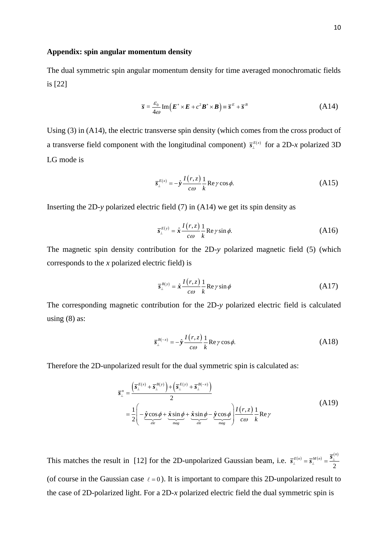## **Appendix: spin angular momentum density**

The dual symmetric spin angular momentum density for time averaged monochromatic fields is [22]

$$
\overline{s} = \frac{\varepsilon_0}{4\omega} \operatorname{Im} \left( \boldsymbol{E}^* \times \boldsymbol{E} + c^2 \boldsymbol{B}^* \times \boldsymbol{B} \right) \equiv \overline{s}^E + \overline{s}^B \tag{A14}
$$

Using (3) in (A14), the electric transverse spin density (which comes from the cross product of a transverse field component with the longitudinal component)  $\bar{s}_{\perp}^{E(x)}$  for a 2D-*x* polarized 3D LG mode is

$$
\overline{s}_{\perp}^{E(x)} = -\hat{y} \frac{I(r, z)}{c\omega} \frac{1}{k} \operatorname{Re} \gamma \cos \phi.
$$
 (A15)

Inserting the 2D-*y* polarized electric field (7) in (A14) we get its spin density as

$$
\overline{s}_{\perp}^{E(y)} = \hat{x} \frac{I(r,z)}{\cos k} \frac{1}{k} \operatorname{Re} \gamma \sin \phi.
$$
 (A16)

The magnetic spin density contribution for the 2D-*y* polarized magnetic field (5) (which corresponds to the *x* polarized electric field) is

$$
\overline{s}_{\perp}^{B(y)} = \hat{x} \frac{I(r,z)}{c\omega} \frac{1}{k} \operatorname{Re}\gamma \sin \phi \tag{A17}
$$

The corresponding magnetic contribution for the 2D-*y* polarized electric field is calculated using  $(8)$  as:

$$
\overline{s}_{\perp}^{B(-x)} = -\hat{y} \frac{I(r,z)}{c\omega} \frac{1}{k} \text{Re}\,\gamma\cos\phi.
$$
 (A18)

Therefore the 2D-unpolarized result for the dual symmetric spin is calculated as:

$$
\overline{s}_{\perp}^{n} = \frac{\left(\overline{s}_{\perp}^{E(x)} + \overline{s}_{\perp}^{B(y)}\right) + \left(\overline{s}_{\perp}^{E(y)} + \overline{s}_{\perp}^{B(-x)}\right)}{2}
$$
\n
$$
= \frac{1}{2} \left(-\underbrace{\hat{y}\cos\phi}_{ele} + \underbrace{\hat{x}\sin\phi}_{mag} + \underbrace{\hat{x}\sin\phi}_{ele} - \underbrace{\hat{y}\cos\phi}_{mag}\right) \frac{I(r,z)}{c\omega} \frac{1}{k} \text{Re}\,\gamma
$$
\n(A19)

This matches the result in [12] for the 2D-unpolarized Gaussian beam, i.e.  $\bar{s}_{\perp}^{E(n)} = \bar{s}_{\perp}^{M(n)} = \frac{\bar{s}_{\perp}^{(n)}}{2}$ 2  $\overline{\mathbf{S}}^{E(n)}_{\perp} = \overline{\mathbf{S}}^{M(n)}_{\perp} = \frac{\overline{\mathbf{S}}^{(n)}_{\perp}}{2}$ (of course in the Gaussian case  $\ell = 0$ ). It is important to compare this 2D-unpolarized result to the case of 2D-polarized light. For a 2D-*x* polarized electric field the dual symmetric spin is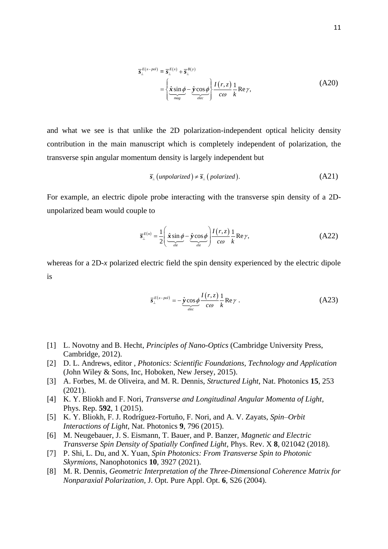$$
\overline{s}_{\perp}^{E(x-pol)} = \overline{s}_{\perp}^{E(x)} + \overline{s}_{\perp}^{B(y)} \n= \left\{ \frac{\hat{x} \sin \phi}{\frac{mag}{\omega}} - \frac{\hat{y} \cos \phi}{\frac{elec}{\omega}} \right\} \frac{I(r, z)}{c\omega} \frac{1}{k} \text{Re } \gamma,
$$
\n(A20)

and what we see is that unlike the 2D polarization-independent optical helicity density contribution in the main manuscript which is completely independent of polarization, the transverse spin angular momentum density is largely independent but

$$
\overline{s}_{\perp}(unpolarized) \neq \overline{s}_{\perp}(polarized). \tag{A21}
$$

For example, an electric dipole probe interacting with the transverse spin density of a 2Dunpolarized beam would couple to

$$
\overline{s}_{\perp}^{E(n)} = \frac{1}{2} \left( \underbrace{\hat{x} \sin \phi}_{ele} - \underbrace{\hat{y} \cos \phi}_{ele} \right) \frac{I(r, z)}{c\omega} \frac{1}{k} \text{Re } \gamma, \tag{A22}
$$

whereas for a 2D-*x* polarized electric field the spin density experienced by the electric dipole is

$$
\overline{s}_{\perp}^{E(x-pol)} = -\hat{\mathbf{y}} \cos \phi \frac{I(r,z)}{c\omega} \frac{1}{k} \text{Re}\gamma . \tag{A23}
$$

- [1] L. Novotny and B. Hecht, *Principles of Nano-Optics* (Cambridge University Press, Cambridge, 2012).
- [2] D. L. Andrews, editor , *Photonics: Scientific Foundations, Technology and Application* (John Wiley & Sons, Inc, Hoboken, New Jersey, 2015).
- [3] A. Forbes, M. de Oliveira, and M. R. Dennis, *Structured Light*, Nat. Photonics **15**, 253 (2021).
- [4] K. Y. Bliokh and F. Nori, *Transverse and Longitudinal Angular Momenta of Light*, Phys. Rep. **592**, 1 (2015).
- [5] K. Y. Bliokh, F. J. Rodríguez-Fortuño, F. Nori, and A. V. Zayats, *Spin–Orbit Interactions of Light*, Nat. Photonics **9**, 796 (2015).
- [6] M. Neugebauer, J. S. Eismann, T. Bauer, and P. Banzer, *Magnetic and Electric Transverse Spin Density of Spatially Confined Light*, Phys. Rev. X **8**, 021042 (2018).
- [7] P. Shi, L. Du, and X. Yuan, *Spin Photonics: From Transverse Spin to Photonic Skyrmions*, Nanophotonics **10**, 3927 (2021).
- [8] M. R. Dennis, *Geometric Interpretation of the Three-Dimensional Coherence Matrix for Nonparaxial Polarization*, J. Opt. Pure Appl. Opt. **6**, S26 (2004).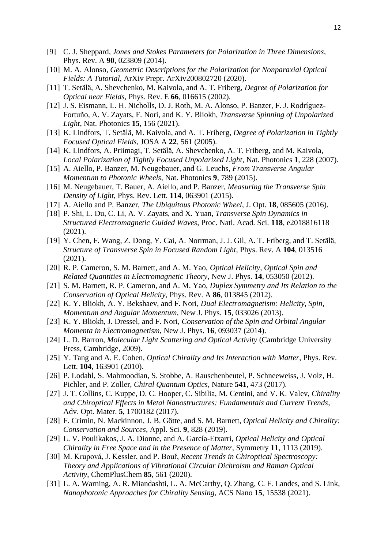- [9] C. J. Sheppard, *Jones and Stokes Parameters for Polarization in Three Dimensions*, Phys. Rev. A **90**, 023809 (2014).
- [10] M. A. Alonso, *Geometric Descriptions for the Polarization for Nonparaxial Optical Fields: A Tutorial*, ArXiv Prepr. ArXiv200802720 (2020).
- [11] T. Setälä, A. Shevchenko, M. Kaivola, and A. T. Friberg, *Degree of Polarization for Optical near Fields*, Phys. Rev. E **66**, 016615 (2002).
- [12] J. S. Eismann, L. H. Nicholls, D. J. Roth, M. A. Alonso, P. Banzer, F. J. Rodríguez-Fortuño, A. V. Zayats, F. Nori, and K. Y. Bliokh, *Transverse Spinning of Unpolarized Light*, Nat. Photonics **15**, 156 (2021).
- [13] K. Lindfors, T. Setälä, M. Kaivola, and A. T. Friberg, *Degree of Polarization in Tightly Focused Optical Fields*, JOSA A **22**, 561 (2005).
- [14] K. Lindfors, A. Priimagi, T. Setälä, A. Shevchenko, A. T. Friberg, and M. Kaivola, *Local Polarization of Tightly Focused Unpolarized Light*, Nat. Photonics **1**, 228 (2007).
- [15] A. Aiello, P. Banzer, M. Neugebauer, and G. Leuchs, *From Transverse Angular Momentum to Photonic Wheels*, Nat. Photonics **9**, 789 (2015).
- [16] M. Neugebauer, T. Bauer, A. Aiello, and P. Banzer, *Measuring the Transverse Spin Density of Light*, Phys. Rev. Lett. **114**, 063901 (2015).
- [17] A. Aiello and P. Banzer, *The Ubiquitous Photonic Wheel*, J. Opt. **18**, 085605 (2016).
- [18] P. Shi, L. Du, C. Li, A. V. Zayats, and X. Yuan, *Transverse Spin Dynamics in Structured Electromagnetic Guided Waves*, Proc. Natl. Acad. Sci. **118**, e2018816118 (2021).
- [19] Y. Chen, F. Wang, Z. Dong, Y. Cai, A. Norrman, J. J. Gil, A. T. Friberg, and T. Setälä, *Structure of Transverse Spin in Focused Random Light*, Phys. Rev. A **104**, 013516 (2021).
- [20] R. P. Cameron, S. M. Barnett, and A. M. Yao, *Optical Helicity, Optical Spin and Related Quantities in Electromagnetic Theory*, New J. Phys. **14**, 053050 (2012).
- [21] S. M. Barnett, R. P. Cameron, and A. M. Yao, *Duplex Symmetry and Its Relation to the Conservation of Optical Helicity*, Phys. Rev. A **86**, 013845 (2012).
- [22] K. Y. Bliokh, A. Y. Bekshaev, and F. Nori, *Dual Electromagnetism: Helicity, Spin, Momentum and Angular Momentum*, New J. Phys. **15**, 033026 (2013).
- [23] K. Y. Bliokh, J. Dressel, and F. Nori, *Conservation of the Spin and Orbital Angular Momenta in Electromagnetism*, New J. Phys. **16**, 093037 (2014).
- [24] L. D. Barron, *Molecular Light Scattering and Optical Activity* (Cambridge University Press, Cambridge, 2009).
- [25] Y. Tang and A. E. Cohen, *Optical Chirality and Its Interaction with Matter*, Phys. Rev. Lett. **104**, 163901 (2010).
- [26] P. Lodahl, S. Mahmoodian, S. Stobbe, A. Rauschenbeutel, P. Schneeweiss, J. Volz, H. Pichler, and P. Zoller, *Chiral Quantum Optics*, Nature **541**, 473 (2017).
- [27] J. T. Collins, C. Kuppe, D. C. Hooper, C. Sibilia, M. Centini, and V. K. Valev, *Chirality and Chiroptical Effects in Metal Nanostructures: Fundamentals and Current Trends*, Adv. Opt. Mater. **5**, 1700182 (2017).
- [28] F. Crimin, N. Mackinnon, J. B. Götte, and S. M. Barnett, *Optical Helicity and Chirality: Conservation and Sources*, Appl. Sci. **9**, 828 (2019).
- [29] L. V. Poulikakos, J. A. Dionne, and A. García-Etxarri, *Optical Helicity and Optical Chirality in Free Space and in the Presence of Matter*, Symmetry **11**, 1113 (2019).
- [30] M. Krupová, J. Kessler, and P. Bouř, *Recent Trends in Chiroptical Spectroscopy: Theory and Applications of Vibrational Circular Dichroism and Raman Optical Activity*, ChemPlusChem **85**, 561 (2020).
- [31] L. A. Warning, A. R. Miandashti, L. A. McCarthy, Q. Zhang, C. F. Landes, and S. Link, *Nanophotonic Approaches for Chirality Sensing*, ACS Nano **15**, 15538 (2021).